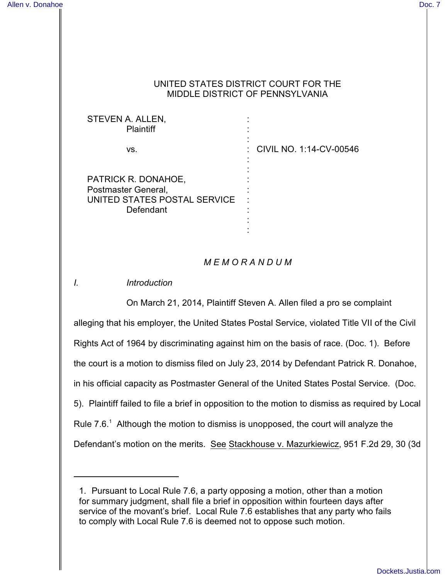## UNITED STATES DISTRICT COURT FOR THE MIDDLE DISTRICT OF PENNSYLVANIA

| STEVEN A. ALLEN,<br><b>Plaintiff</b>                                                    |                           |
|-----------------------------------------------------------------------------------------|---------------------------|
| VS.                                                                                     | : CIVIL NO. 1:14-CV-00546 |
| PATRICK R. DONAHOE,<br>Postmaster General,<br>UNITED STATES POSTAL SERVICE<br>Defendant |                           |

# *M E M O R A N D U M*

:

*I. Introduction*

On March 21, 2014, Plaintiff Steven A. Allen filed a pro se complaint alleging that his employer, the United States Postal Service, violated Title VII of the Civil Rights Act of 1964 by discriminating against him on the basis of race. (Doc. 1). Before the court is a motion to dismiss filed on July 23, 2014 by Defendant Patrick R. Donahoe, in his official capacity as Postmaster General of the United States Postal Service. (Doc. 5). Plaintiff failed to file a brief in opposition to the motion to dismiss as required by Local Rule  $7.6.^{\text{T}}$  Although the motion to dismiss is unopposed, the court will analyze the Defendant's motion on the merits. See Stackhouse v. Mazurkiewicz, 951 F.2d 29, 30 (3d

<sup>1.</sup> Pursuant to Local Rule 7.6, a party opposing a motion, other than a motion for summary judgment, shall file a brief in opposition within fourteen days after service of the movant's brief. Local Rule 7.6 establishes that any party who fails to comply with Local Rule 7.6 is deemed not to oppose such motion.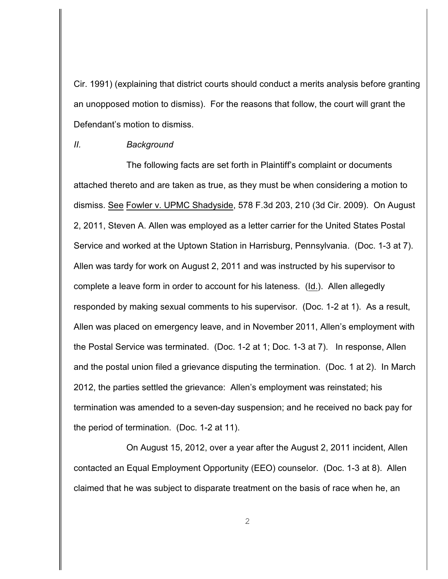Cir. 1991) (explaining that district courts should conduct a merits analysis before granting an unopposed motion to dismiss). For the reasons that follow, the court will grant the Defendant's motion to dismiss.

#### *II. Background*

The following facts are set forth in Plaintiff's complaint or documents attached thereto and are taken as true, as they must be when considering a motion to dismiss. See Fowler v. UPMC Shadyside, 578 F.3d 203, 210 (3d Cir. 2009). On August 2, 2011, Steven A. Allen was employed as a letter carrier for the United States Postal Service and worked at the Uptown Station in Harrisburg, Pennsylvania. (Doc. 1-3 at 7). Allen was tardy for work on August 2, 2011 and was instructed by his supervisor to complete a leave form in order to account for his lateness. (Id.).Allen allegedly responded by making sexual comments to his supervisor. (Doc. 1-2 at 1). As a result, Allen was placed on emergency leave, and in November 2011, Allen's employment with the Postal Service was terminated. (Doc. 1-2 at 1; Doc. 1-3 at 7). In response, Allen and the postal union filed a grievance disputing the termination. (Doc. 1 at 2). In March 2012, the parties settled the grievance: Allen's employment was reinstated; his termination was amended to a seven-day suspension; and he received no back pay for the period of termination. (Doc. 1-2 at 11).

On August 15, 2012, over a year after the August 2, 2011 incident, Allen contacted an Equal Employment Opportunity (EEO) counselor. (Doc. 1-3 at 8). Allen claimed that he was subject to disparate treatment on the basis of race when he, an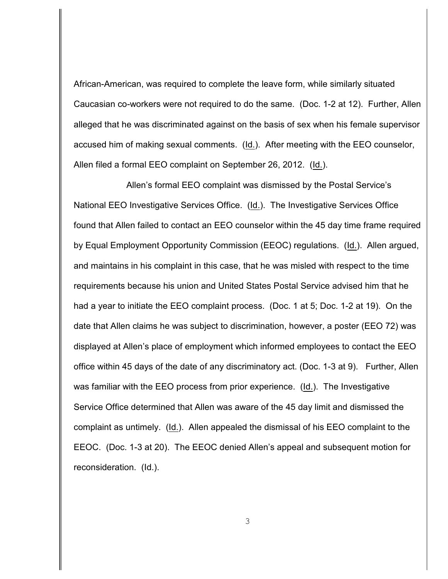African-American, was required to complete the leave form, while similarly situated Caucasian co-workers were not required to do the same. (Doc. 1-2 at 12). Further, Allen alleged that he was discriminated against on the basis of sex when his female supervisor accused him of making sexual comments. (Id.). After meeting with the EEO counselor, Allen filed a formal EEO complaint on September 26, 2012. (Id.).

Allen's formal EEO complaint was dismissed by the Postal Service's National EEO Investigative Services Office. (Id.). The Investigative Services Office found that Allen failed to contact an EEO counselor within the 45 day time frame required by Equal Employment Opportunity Commission (EEOC) regulations. (Id.). Allen argued, and maintains in his complaint in this case, that he was misled with respect to the time requirements because his union and United States Postal Service advised him that he had a year to initiate the EEO complaint process. (Doc. 1 at 5; Doc. 1-2 at 19). On the date that Allen claims he was subject to discrimination, however, a poster (EEO 72) was displayed at Allen's place of employment which informed employees to contact the EEO office within 45 days of the date of any discriminatory act. (Doc. 1-3 at 9). Further, Allen was familiar with the EEO process from prior experience. (Id.). The Investigative Service Office determined that Allen was aware of the 45 day limit and dismissed the complaint as untimely. (Id.). Allen appealed the dismissal of his EEO complaint to the EEOC. (Doc. 1-3 at 20). The EEOC denied Allen's appeal and subsequent motion for reconsideration. (Id.).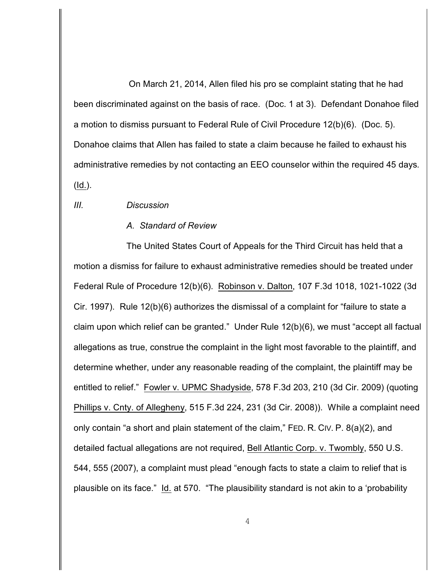On March 21, 2014, Allen filed his pro se complaint stating that he had been discriminated against on the basis of race. (Doc. 1 at 3). Defendant Donahoe filed a motion to dismiss pursuant to Federal Rule of Civil Procedure 12(b)(6). (Doc. 5). Donahoe claims that Allen has failed to state a claim because he failed to exhaust his administrative remedies by not contacting an EEO counselor within the required 45 days*.*  (Id.).

### *III. Discussion*

#### *A. Standard of Review*

The United States Court of Appeals for the Third Circuit has held that a motion a dismiss for failure to exhaust administrative remedies should be treated under Federal Rule of Procedure 12(b)(6). Robinson v. Dalton, 107 F.3d 1018, 1021-1022 (3d Cir. 1997).Rule 12(b)(6) authorizes the dismissal of a complaint for "failure to state a claim upon which relief can be granted." Under Rule 12(b)(6), we must "accept all factual allegations as true, construe the complaint in the light most favorable to the plaintiff, and determine whether, under any reasonable reading of the complaint, the plaintiff may be entitled to relief." Fowler v. UPMC Shadyside, 578 F.3d 203, 210 (3d Cir. 2009) (quoting Phillips v. Cnty. of Allegheny, 515 F.3d 224, 231 (3d Cir. 2008)). While a complaint need only contain "a short and plain statement of the claim," FED. R. CIV. P. 8(a)(2), and detailed factual allegations are not required, Bell Atlantic Corp. v. Twombly, 550 U.S. 544, 555 (2007), a complaint must plead "enough facts to state a claim to relief that is plausible on its face." Id. at 570. "The plausibility standard is not akin to a 'probability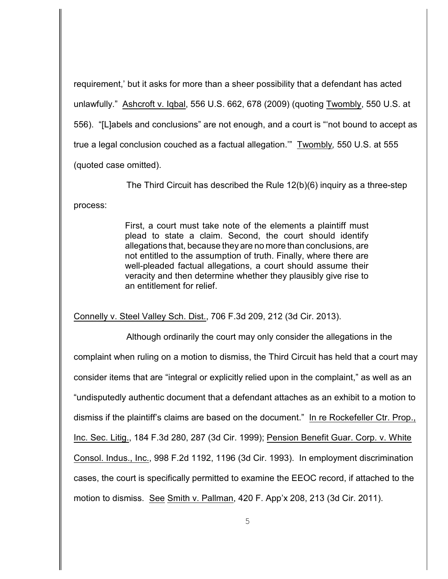requirement,' but it asks for more than a sheer possibility that a defendant has acted unlawfully." Ashcroft v. Iqbal, 556 U.S. 662, 678 (2009) (quoting Twombly, 550 U.S. at 556). "[L]abels and conclusions" are not enough, and a court is "'not bound to accept as true a legal conclusion couched as a factual allegation.'" Twombly*,* 550 U.S. at 555 (quoted case omitted).

The Third Circuit has described the Rule 12(b)(6) inquiry as a three-step process:

> First, a court must take note of the elements a plaintiff must plead to state a claim. Second, the court should identify allegations that, because they are no more than conclusions, are not entitled to the assumption of truth. Finally, where there are well-pleaded factual allegations, a court should assume their veracity and then determine whether they plausibly give rise to an entitlement for relief.

Connelly v. Steel Valley Sch. Dist., 706 F.3d 209, 212 (3d Cir. 2013).

Although ordinarily the court may only consider the allegations in the complaint when ruling on a motion to dismiss, the Third Circuit has held that a court may consider items that are "integral or explicitly relied upon in the complaint," as well as an "undisputedly authentic document that a defendant attaches as an exhibit to a motion to dismiss if the plaintiff's claims are based on the document." In re Rockefeller Ctr. Prop., Inc. Sec. Litig., 184 F.3d 280, 287 (3d Cir. 1999); Pension Benefit Guar. Corp. v. White Consol. Indus., Inc., 998 F.2d 1192, 1196 (3d Cir. 1993). In employment discrimination cases, the court is specifically permitted to examine the EEOC record, if attached to the motion to dismiss. See Smith v. Pallman, 420 F. App'x 208, 213 (3d Cir. 2011).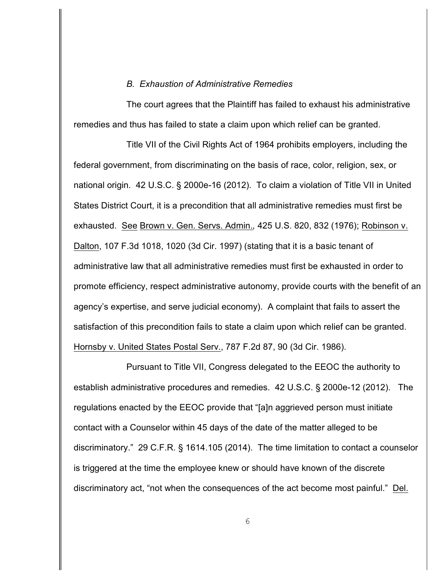#### *B. Exhaustion of Administrative Remedies*

The court agrees that the Plaintiff has failed to exhaust his administrative remedies and thus has failed to state a claim upon which relief can be granted.

Title VII of the Civil Rights Act of 1964 prohibits employers, including the federal government, from discriminating on the basis of race, color, religion, sex, or national origin. 42 U.S.C. § 2000e-16 (2012). To claim a violation of Title VII in United States District Court, it is a precondition that all administrative remedies must first be exhausted. See Brown v. Gen. Servs. Admin.*,* 425 U.S. 820, 832 (1976); Robinson v. Dalton, 107 F.3d 1018, 1020 (3d Cir. 1997) (stating that it is a basic tenant of administrative law that all administrative remedies must first be exhausted in order to promote efficiency, respect administrative autonomy, provide courts with the benefit of an agency's expertise, and serve judicial economy). A complaint that fails to assert the satisfaction of this precondition fails to state a claim upon which relief can be granted. Hornsby v. United States Postal Serv., 787 F.2d 87, 90 (3d Cir. 1986).

Pursuant to Title VII, Congress delegated to the EEOC the authority to establish administrative procedures and remedies. 42 U.S.C. § 2000e-12 (2012). The regulations enacted by the EEOC provide that "[a]n aggrieved person must initiate contact with a Counselor within 45 days of the date of the matter alleged to be discriminatory." 29 C.F.R. § 1614.105 (2014). The time limitation to contact a counselor is triggered at the time the employee knew or should have known of the discrete discriminatory act, "not when the consequences of the act become most painful." Del.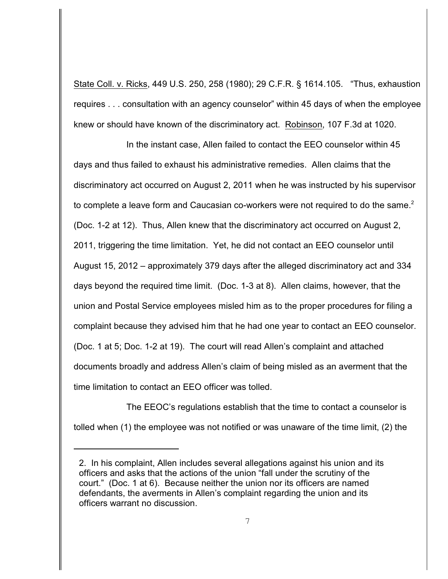State Coll. v. Ricks, 449 U.S. 250, 258 (1980); 29 C.F.R. § 1614.105. "Thus, exhaustion requires . . . consultation with an agency counselor" within 45 days of when the employee knew or should have known of the discriminatory act. Robinson, 107 F.3d at 1020.

In the instant case, Allen failed to contact the EEO counselor within 45 days and thus failed to exhaust his administrative remedies. Allen claims that the discriminatory act occurred on August 2, 2011 when he was instructed by his supervisor to complete a leave form and Caucasian co-workers were not required to do the same.<sup>2</sup> (Doc. 1-2 at 12). Thus, Allen knew that the discriminatory act occurred on August 2, 2011, triggering the time limitation. Yet, he did not contact an EEO counselor until August 15, 2012 – approximately 379 days after the alleged discriminatory act and 334 days beyond the required time limit. (Doc. 1-3 at 8). Allen claims, however, that the union and Postal Service employees misled him as to the proper procedures for filing a complaint because they advised him that he had one year to contact an EEO counselor. (Doc. 1 at 5; Doc. 1-2 at 19).The court will read Allen's complaint and attached documents broadly and address Allen's claim of being misled as an averment that the time limitation to contact an EEO officer was tolled.

The EEOC's regulations establish that the time to contact a counselor is tolled when (1) the employee was not notified or was unaware of the time limit, (2) the

<sup>2.</sup> In his complaint, Allen includes several allegations against his union and its officers and asks that the actions of the union "fall under the scrutiny of the court." (Doc. 1 at 6). Because neither the union nor its officers are named defendants, the averments in Allen's complaint regarding the union and its officers warrant no discussion.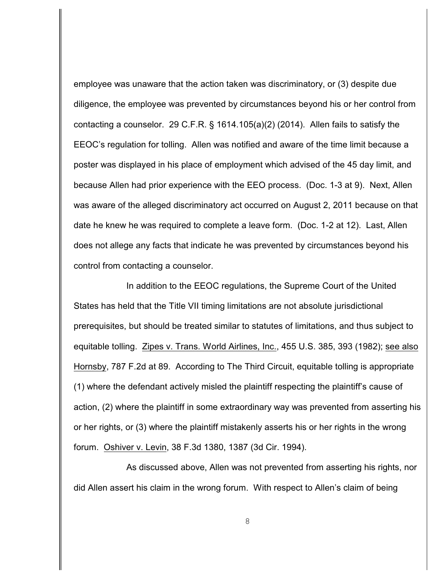employee was unaware that the action taken was discriminatory, or (3) despite due diligence, the employee was prevented by circumstances beyond his or her control from contacting a counselor. 29 C.F.R. § 1614.105(a)(2) (2014). Allen fails to satisfy the EEOC's regulation for tolling. Allen was notified and aware of the time limit because a poster was displayed in his place of employment which advised of the 45 day limit, and because Allen had prior experience with the EEO process. (Doc. 1-3 at 9). Next, Allen was aware of the alleged discriminatory act occurred on August 2, 2011 because on that date he knew he was required to complete a leave form. (Doc. 1-2 at 12). Last, Allen does not allege any facts that indicate he was prevented by circumstances beyond his control from contacting a counselor.

In addition to the EEOC regulations, the Supreme Court of the United States has held that the Title VII timing limitations are not absolute jurisdictional prerequisites, but should be treated similar to statutes of limitations, and thus subject to equitable tolling. Zipes v. Trans. World Airlines, Inc., 455 U.S. 385, 393 (1982); see also Hornsby, 787 F.2d at 89. According to The Third Circuit, equitable tolling is appropriate (1) where the defendant actively misled the plaintiff respecting the plaintiff's cause of action, (2) where the plaintiff in some extraordinary way was prevented from asserting his or her rights, or (3) where the plaintiff mistakenly asserts his or her rights in the wrong forum. Oshiver v. Levin, 38 F.3d 1380, 1387 (3d Cir. 1994).

As discussed above, Allen was not prevented from asserting his rights, nor did Allen assert his claim in the wrong forum. With respect to Allen's claim of being